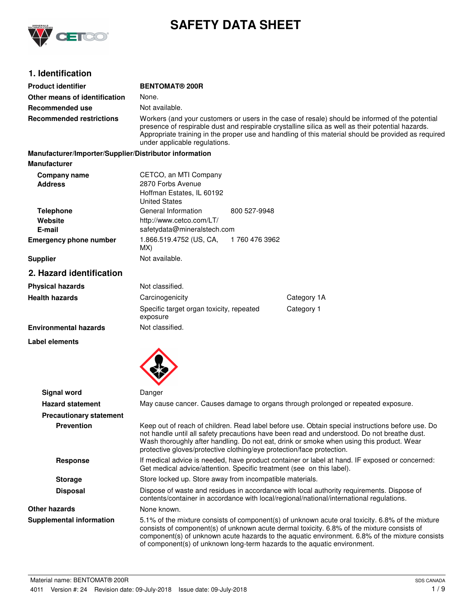

# **SAFETY DATA SHEET**

# **1. Identification**

| <b>Product identifier</b>                              | <b>BENTOMAT® 200R</b>                                                                                                                                                                                                                                                                                                                                                |                |                                                                                                                                                                                                                                                                                                                                                                              |
|--------------------------------------------------------|----------------------------------------------------------------------------------------------------------------------------------------------------------------------------------------------------------------------------------------------------------------------------------------------------------------------------------------------------------------------|----------------|------------------------------------------------------------------------------------------------------------------------------------------------------------------------------------------------------------------------------------------------------------------------------------------------------------------------------------------------------------------------------|
| Other means of identification                          | None.                                                                                                                                                                                                                                                                                                                                                                |                |                                                                                                                                                                                                                                                                                                                                                                              |
| Recommended use                                        | Not available.                                                                                                                                                                                                                                                                                                                                                       |                |                                                                                                                                                                                                                                                                                                                                                                              |
| <b>Recommended restrictions</b>                        | Workers (and your customers or users in the case of resale) should be informed of the potential<br>presence of respirable dust and respirable crystalline silica as well as their potential hazards.<br>Appropriate training in the proper use and handling of this material should be provided as required<br>under applicable regulations.                         |                |                                                                                                                                                                                                                                                                                                                                                                              |
| Manufacturer/Importer/Supplier/Distributor information |                                                                                                                                                                                                                                                                                                                                                                      |                |                                                                                                                                                                                                                                                                                                                                                                              |
| <b>Manufacturer</b>                                    |                                                                                                                                                                                                                                                                                                                                                                      |                |                                                                                                                                                                                                                                                                                                                                                                              |
| Company name<br><b>Address</b>                         | CETCO, an MTI Company<br>2870 Forbs Avenue<br>Hoffman Estates, IL 60192<br><b>United States</b>                                                                                                                                                                                                                                                                      |                |                                                                                                                                                                                                                                                                                                                                                                              |
| <b>Telephone</b>                                       | General Information                                                                                                                                                                                                                                                                                                                                                  | 800 527-9948   |                                                                                                                                                                                                                                                                                                                                                                              |
| Website                                                | http://www.cetco.com/LT/                                                                                                                                                                                                                                                                                                                                             |                |                                                                                                                                                                                                                                                                                                                                                                              |
| E-mail                                                 | safetydata@mineralstech.com                                                                                                                                                                                                                                                                                                                                          |                |                                                                                                                                                                                                                                                                                                                                                                              |
| <b>Emergency phone number</b>                          | 1.866.519.4752 (US, CA,<br>MX)                                                                                                                                                                                                                                                                                                                                       | 1 760 476 3962 |                                                                                                                                                                                                                                                                                                                                                                              |
| <b>Supplier</b>                                        | Not available.                                                                                                                                                                                                                                                                                                                                                       |                |                                                                                                                                                                                                                                                                                                                                                                              |
| 2. Hazard identification                               |                                                                                                                                                                                                                                                                                                                                                                      |                |                                                                                                                                                                                                                                                                                                                                                                              |
| <b>Physical hazards</b>                                | Not classified.                                                                                                                                                                                                                                                                                                                                                      |                |                                                                                                                                                                                                                                                                                                                                                                              |
| <b>Health hazards</b>                                  | Carcinogenicity                                                                                                                                                                                                                                                                                                                                                      |                | Category 1A                                                                                                                                                                                                                                                                                                                                                                  |
|                                                        | Specific target organ toxicity, repeated<br>exposure                                                                                                                                                                                                                                                                                                                 |                | Category 1                                                                                                                                                                                                                                                                                                                                                                   |
| <b>Environmental hazards</b>                           | Not classified.                                                                                                                                                                                                                                                                                                                                                      |                |                                                                                                                                                                                                                                                                                                                                                                              |
| Label elements                                         |                                                                                                                                                                                                                                                                                                                                                                      |                |                                                                                                                                                                                                                                                                                                                                                                              |
|                                                        |                                                                                                                                                                                                                                                                                                                                                                      |                |                                                                                                                                                                                                                                                                                                                                                                              |
| <b>Signal word</b>                                     | Danger                                                                                                                                                                                                                                                                                                                                                               |                |                                                                                                                                                                                                                                                                                                                                                                              |
| <b>Hazard statement</b>                                |                                                                                                                                                                                                                                                                                                                                                                      |                | May cause cancer. Causes damage to organs through prolonged or repeated exposure.                                                                                                                                                                                                                                                                                            |
| <b>Precautionary statement</b>                         |                                                                                                                                                                                                                                                                                                                                                                      |                |                                                                                                                                                                                                                                                                                                                                                                              |
| <b>Prevention</b>                                      | Keep out of reach of children. Read label before use. Obtain special instructions before use. Do<br>not handle until all safety precautions have been read and understood. Do not breathe dust.<br>Wash thoroughly after handling. Do not eat, drink or smoke when using this product. Wear<br>protective gloves/protective clothing/eye protection/face protection. |                |                                                                                                                                                                                                                                                                                                                                                                              |
| <b>Response</b>                                        | If medical advice is needed, have product container or label at hand. IF exposed or concerned:<br>Get medical advice/attention. Specific treatment (see on this label).                                                                                                                                                                                              |                |                                                                                                                                                                                                                                                                                                                                                                              |
| <b>Storage</b>                                         | Store locked up. Store away from incompatible materials.                                                                                                                                                                                                                                                                                                             |                |                                                                                                                                                                                                                                                                                                                                                                              |
| <b>Disposal</b>                                        |                                                                                                                                                                                                                                                                                                                                                                      |                | Dispose of waste and residues in accordance with local authority requirements. Dispose of<br>contents/container in accordance with local/regional/national/international regulations.                                                                                                                                                                                        |
| <b>Other hazards</b>                                   | None known.                                                                                                                                                                                                                                                                                                                                                          |                |                                                                                                                                                                                                                                                                                                                                                                              |
| <b>Supplemental information</b>                        |                                                                                                                                                                                                                                                                                                                                                                      |                | 5.1% of the mixture consists of component(s) of unknown acute oral toxicity. 6.8% of the mixture<br>consists of component(s) of unknown acute dermal toxicity. 6.8% of the mixture consists of<br>component(s) of unknown acute hazards to the aquatic environment. 6.8% of the mixture consists<br>of component(s) of unknown long-term hazards to the aquatic environment. |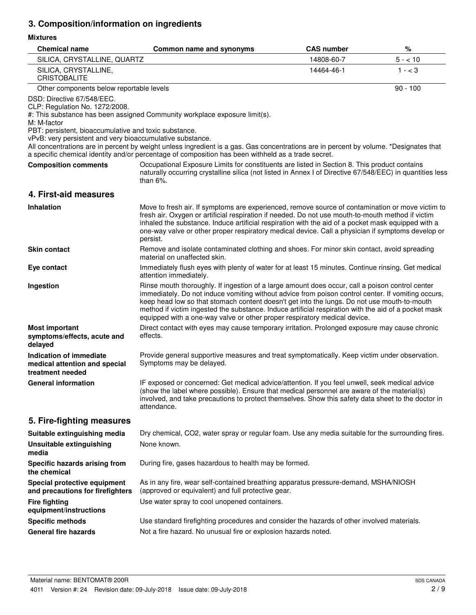# **3. Composition/information on ingredients**

### **Mixtures**

| <b>Chemical name</b>                                                                                                                                                                              | Common name and synonyms                                                                                                                                                                                                                                                                                                                                                                                                                                                                  | <b>CAS number</b> | %          |
|---------------------------------------------------------------------------------------------------------------------------------------------------------------------------------------------------|-------------------------------------------------------------------------------------------------------------------------------------------------------------------------------------------------------------------------------------------------------------------------------------------------------------------------------------------------------------------------------------------------------------------------------------------------------------------------------------------|-------------------|------------|
| SILICA, CRYSTALLINE, QUARTZ                                                                                                                                                                       |                                                                                                                                                                                                                                                                                                                                                                                                                                                                                           | 14808-60-7        | $5 - 10$   |
| SILICA, CRYSTALLINE,<br><b>CRISTOBALITE</b>                                                                                                                                                       |                                                                                                                                                                                                                                                                                                                                                                                                                                                                                           | 14464-46-1        | $1 - < 3$  |
| Other components below reportable levels                                                                                                                                                          |                                                                                                                                                                                                                                                                                                                                                                                                                                                                                           |                   | $90 - 100$ |
| DSD: Directive 67/548/EEC.<br>CLP: Regulation No. 1272/2008.<br>M: M-factor<br>PBT: persistent, bioaccumulative and toxic substance.<br>vPvB: very persistent and very bioaccumulative substance. | #: This substance has been assigned Community workplace exposure limit(s).                                                                                                                                                                                                                                                                                                                                                                                                                |                   |            |
|                                                                                                                                                                                                   | All concentrations are in percent by weight unless ingredient is a gas. Gas concentrations are in percent by volume. *Designates that<br>a specific chemical identity and/or percentage of composition has been withheld as a trade secret.                                                                                                                                                                                                                                               |                   |            |
| <b>Composition comments</b>                                                                                                                                                                       | Occupational Exposure Limits for constituents are listed in Section 8. This product contains<br>naturally occurring crystalline silica (not listed in Annex I of Directive 67/548/EEC) in quantities less<br>than $6\%$ .                                                                                                                                                                                                                                                                 |                   |            |
| 4. First-aid measures                                                                                                                                                                             |                                                                                                                                                                                                                                                                                                                                                                                                                                                                                           |                   |            |
| <b>Inhalation</b>                                                                                                                                                                                 | Move to fresh air. If symptoms are experienced, remove source of contamination or move victim to<br>fresh air. Oxygen or artificial respiration if needed. Do not use mouth-to-mouth method if victim<br>inhaled the substance. Induce artificial respiration with the aid of a pocket mask equipped with a<br>one-way valve or other proper respiratory medical device. Call a physician if symptoms develop or<br>persist.                                                              |                   |            |
| <b>Skin contact</b>                                                                                                                                                                               | Remove and isolate contaminated clothing and shoes. For minor skin contact, avoid spreading<br>material on unaffected skin.                                                                                                                                                                                                                                                                                                                                                               |                   |            |
| Eye contact                                                                                                                                                                                       | Immediately flush eyes with plenty of water for at least 15 minutes. Continue rinsing. Get medical<br>attention immediately.                                                                                                                                                                                                                                                                                                                                                              |                   |            |
| Ingestion                                                                                                                                                                                         | Rinse mouth thoroughly. If ingestion of a large amount does occur, call a poison control center<br>immediately. Do not induce vomiting without advice from poison control center. If vomiting occurs,<br>keep head low so that stomach content doesn't get into the lungs. Do not use mouth-to-mouth<br>method if victim ingested the substance. Induce artificial respiration with the aid of a pocket mask<br>equipped with a one-way valve or other proper respiratory medical device. |                   |            |
| <b>Most important</b><br>symptoms/effects, acute and<br>delayed                                                                                                                                   | Direct contact with eyes may cause temporary irritation. Prolonged exposure may cause chronic<br>effects.                                                                                                                                                                                                                                                                                                                                                                                 |                   |            |
| Indication of immediate<br>medical attention and special<br>treatment needed                                                                                                                      | Provide general supportive measures and treat symptomatically. Keep victim under observation.<br>Symptoms may be delayed.                                                                                                                                                                                                                                                                                                                                                                 |                   |            |
| <b>General information</b>                                                                                                                                                                        | IF exposed or concerned: Get medical advice/attention. If you feel unwell, seek medical advice<br>(show the label where possible). Ensure that medical personnel are aware of the material(s)<br>involved, and take precautions to protect themselves. Show this safety data sheet to the doctor in<br>attendance.                                                                                                                                                                        |                   |            |
| 5. Fire-fighting measures                                                                                                                                                                         |                                                                                                                                                                                                                                                                                                                                                                                                                                                                                           |                   |            |
| Suitable extinguishing media                                                                                                                                                                      | Dry chemical, CO2, water spray or regular foam. Use any media suitable for the surrounding fires.                                                                                                                                                                                                                                                                                                                                                                                         |                   |            |
| <b>Unsuitable extinguishing</b><br>media                                                                                                                                                          | None known.                                                                                                                                                                                                                                                                                                                                                                                                                                                                               |                   |            |
| Specific hazards arising from<br>the chemical                                                                                                                                                     | During fire, gases hazardous to health may be formed.                                                                                                                                                                                                                                                                                                                                                                                                                                     |                   |            |
| Special protective equipment<br>and precautions for firefighters                                                                                                                                  | As in any fire, wear self-contained breathing apparatus pressure-demand, MSHA/NIOSH<br>(approved or equivalent) and full protective gear.                                                                                                                                                                                                                                                                                                                                                 |                   |            |
| <b>Fire fighting</b><br>equipment/instructions                                                                                                                                                    | Use water spray to cool unopened containers.                                                                                                                                                                                                                                                                                                                                                                                                                                              |                   |            |
| <b>Specific methods</b>                                                                                                                                                                           | Use standard firefighting procedures and consider the hazards of other involved materials.                                                                                                                                                                                                                                                                                                                                                                                                |                   |            |
| <b>General fire hazards</b>                                                                                                                                                                       | Not a fire hazard. No unusual fire or explosion hazards noted.                                                                                                                                                                                                                                                                                                                                                                                                                            |                   |            |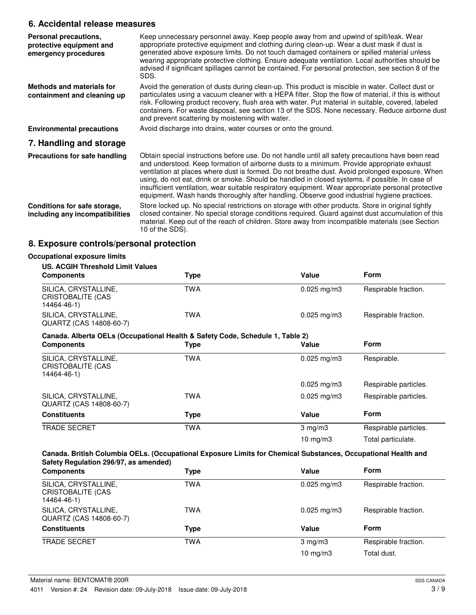### **6. Accidental release measures**

| Personal precautions,<br>protective equipment and<br>emergency procedures | Keep unnecessary personnel away. Keep people away from and upwind of spill/leak. Wear<br>appropriate protective equipment and clothing during clean-up. Wear a dust mask if dust is<br>generated above exposure limits. Do not touch damaged containers or spilled material unless<br>wearing appropriate protective clothing. Ensure adequate ventilation. Local authorities should be<br>advised if significant spillages cannot be contained. For personal protection, see section 8 of the<br>SDS.                                                                                                      |
|---------------------------------------------------------------------------|-------------------------------------------------------------------------------------------------------------------------------------------------------------------------------------------------------------------------------------------------------------------------------------------------------------------------------------------------------------------------------------------------------------------------------------------------------------------------------------------------------------------------------------------------------------------------------------------------------------|
| Methods and materials for<br>containment and cleaning up                  | Avoid the generation of dusts during clean-up. This product is miscible in water. Collect dust or<br>particulates using a vacuum cleaner with a HEPA filter. Stop the flow of material, if this is without<br>risk. Following product recovery, flush area with water. Put material in suitable, covered, labeled<br>containers. For waste disposal, see section 13 of the SDS. None necessary. Reduce airborne dust<br>and prevent scattering by moistening with water.                                                                                                                                    |
| <b>Environmental precautions</b>                                          | Avoid discharge into drains, water courses or onto the ground.                                                                                                                                                                                                                                                                                                                                                                                                                                                                                                                                              |
| 7. Handling and storage                                                   |                                                                                                                                                                                                                                                                                                                                                                                                                                                                                                                                                                                                             |
| Precautions for safe handling                                             | Obtain special instructions before use. Do not handle until all safety precautions have been read<br>and understood. Keep formation of airborne dusts to a minimum. Provide appropriate exhaust<br>ventilation at places where dust is formed. Do not breathe dust. Avoid prolonged exposure. When<br>using, do not eat, drink or smoke. Should be handled in closed systems, if possible. In case of<br>insufficient ventilation, wear suitable respiratory equipment. Wear appropriate personal protective<br>equipment. Wash hands thoroughly after handling. Observe good industrial hygiene practices. |
| Conditions for safe storage,<br>including any incompatibilities           | Store locked up. No special restrictions on storage with other products. Store in original tightly<br>closed container. No special storage conditions required. Guard against dust accumulation of this<br>material. Keep out of the reach of children. Store away from incompatible materials (see Section<br>10 of the SDS).                                                                                                                                                                                                                                                                              |

# **8. Exposure controls/personal protection**

| <b>US. ACGIH Threshold Limit Values</b>                                       |            |                         |                       |
|-------------------------------------------------------------------------------|------------|-------------------------|-----------------------|
| <b>Components</b>                                                             | Type       | Value                   | <b>Form</b>           |
| SILICA, CRYSTALLINE,<br>CRISTOBALITE (CAS<br>14464-46-1)                      | <b>TWA</b> | $0.025$ mg/m3           | Respirable fraction.  |
| SILICA, CRYSTALLINE,<br>QUARTZ (CAS 14808-60-7)                               | <b>TWA</b> | $0.025 \,\mathrm{mg/m}$ | Respirable fraction.  |
| Canada. Alberta OELs (Occupational Health & Safety Code, Schedule 1, Table 2) |            |                         |                       |
| <b>Components</b>                                                             | Type       | Value                   | <b>Form</b>           |
| SILICA, CRYSTALLINE,<br>CRISTOBALITE (CAS<br>14464-46-1)                      | <b>TWA</b> | $0.025$ mg/m3           | Respirable.           |
|                                                                               |            | $0.025$ mg/m3           | Respirable particles. |
| SILICA, CRYSTALLINE,<br>QUARTZ (CAS 14808-60-7)                               | TWA        | $0.025$ mg/m3           | Respirable particles. |
| <b>Constituents</b>                                                           | Type       | Value                   | Form                  |
| <b>TRADE SECRET</b>                                                           | <b>TWA</b> | $3 \text{ mg/m}$        | Respirable particles. |
|                                                                               |            | 10 $mg/m3$              | Total particulate.    |

| <b>Components</b>                                        | <b>Type</b> | Value            | <b>Form</b>          |
|----------------------------------------------------------|-------------|------------------|----------------------|
| SILICA, CRYSTALLINE,<br>CRISTOBALITE (CAS<br>14464-46-1) | <b>TWA</b>  | $0.025$ mg/m $3$ | Respirable fraction. |
| SILICA, CRYSTALLINE,<br>QUARTZ (CAS 14808-60-7)          | TWA         | $0.025$ mg/m $3$ | Respirable fraction. |
| <b>Constituents</b>                                      | Type        | Value            | <b>Form</b>          |
| <b>TRADE SECRET</b>                                      | <b>TWA</b>  | $3$ mg/m $3$     | Respirable fraction. |
|                                                          |             | 10 $mg/m3$       | Total dust.          |
|                                                          |             |                  |                      |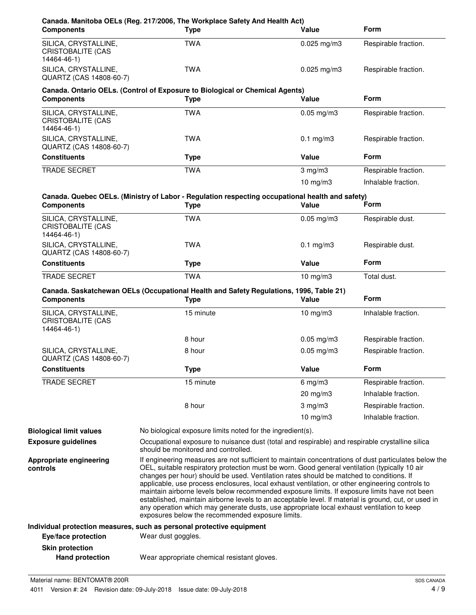| <b>Components</b>                                               | Canada. Manitoba OELs (Reg. 217/2006, The Workplace Safety And Health Act)<br><b>Type</b>                                                                                                                                                                                                                                                                                                                                                                                                                                                                                                                                                                                                                | Value           | <b>Form</b>          |
|-----------------------------------------------------------------|----------------------------------------------------------------------------------------------------------------------------------------------------------------------------------------------------------------------------------------------------------------------------------------------------------------------------------------------------------------------------------------------------------------------------------------------------------------------------------------------------------------------------------------------------------------------------------------------------------------------------------------------------------------------------------------------------------|-----------------|----------------------|
| SILICA, CRYSTALLINE,<br>CRISTOBALITE (CAS<br>14464-46-1)        | <b>TWA</b>                                                                                                                                                                                                                                                                                                                                                                                                                                                                                                                                                                                                                                                                                               | $0.025$ mg/m3   | Respirable fraction. |
| SILICA, CRYSTALLINE,<br>QUARTZ (CAS 14808-60-7)                 | <b>TWA</b>                                                                                                                                                                                                                                                                                                                                                                                                                                                                                                                                                                                                                                                                                               | $0.025$ mg/m3   | Respirable fraction. |
| <b>Components</b>                                               | Canada. Ontario OELs. (Control of Exposure to Biological or Chemical Agents)<br><b>Type</b>                                                                                                                                                                                                                                                                                                                                                                                                                                                                                                                                                                                                              | Value           | <b>Form</b>          |
| SILICA, CRYSTALLINE,<br><b>CRISTOBALITE (CAS</b><br>14464-46-1) | <b>TWA</b>                                                                                                                                                                                                                                                                                                                                                                                                                                                                                                                                                                                                                                                                                               | $0.05$ mg/m $3$ | Respirable fraction. |
| SILICA, CRYSTALLINE,<br>QUARTZ (CAS 14808-60-7)                 | <b>TWA</b>                                                                                                                                                                                                                                                                                                                                                                                                                                                                                                                                                                                                                                                                                               | $0.1$ mg/m $3$  | Respirable fraction. |
| <b>Constituents</b>                                             | <b>Type</b>                                                                                                                                                                                                                                                                                                                                                                                                                                                                                                                                                                                                                                                                                              | Value           | <b>Form</b>          |
| <b>TRADE SECRET</b>                                             | <b>TWA</b>                                                                                                                                                                                                                                                                                                                                                                                                                                                                                                                                                                                                                                                                                               | $3$ mg/m $3$    | Respirable fraction. |
|                                                                 |                                                                                                                                                                                                                                                                                                                                                                                                                                                                                                                                                                                                                                                                                                          | $10$ mg/m $3$   | Inhalable fraction.  |
| <b>Components</b>                                               | Canada. Quebec OELs. (Ministry of Labor - Regulation respecting occupational health and safety)<br><b>Type</b>                                                                                                                                                                                                                                                                                                                                                                                                                                                                                                                                                                                           | Value           | Form                 |
| SILICA, CRYSTALLINE,<br><b>CRISTOBALITE (CAS</b><br>14464-46-1) | <b>TWA</b>                                                                                                                                                                                                                                                                                                                                                                                                                                                                                                                                                                                                                                                                                               | $0.05$ mg/m $3$ | Respirable dust.     |
| SILICA, CRYSTALLINE,<br>QUARTZ (CAS 14808-60-7)                 | <b>TWA</b>                                                                                                                                                                                                                                                                                                                                                                                                                                                                                                                                                                                                                                                                                               | $0.1$ mg/m $3$  | Respirable dust.     |
| <b>Constituents</b>                                             | <b>Type</b>                                                                                                                                                                                                                                                                                                                                                                                                                                                                                                                                                                                                                                                                                              | Value           | <b>Form</b>          |
| TRADE SECRET                                                    | <b>TWA</b>                                                                                                                                                                                                                                                                                                                                                                                                                                                                                                                                                                                                                                                                                               | $10$ mg/m $3$   | Total dust.          |
| <b>Components</b>                                               | Canada. Saskatchewan OELs (Occupational Health and Safety Regulations, 1996, Table 21)<br><b>Type</b>                                                                                                                                                                                                                                                                                                                                                                                                                                                                                                                                                                                                    | Value           | <b>Form</b>          |
| SILICA, CRYSTALLINE,<br><b>CRISTOBALITE (CAS</b><br>14464-46-1) | 15 minute                                                                                                                                                                                                                                                                                                                                                                                                                                                                                                                                                                                                                                                                                                | $10$ mg/m $3$   | Inhalable fraction.  |
|                                                                 | 8 hour                                                                                                                                                                                                                                                                                                                                                                                                                                                                                                                                                                                                                                                                                                   | $0.05$ mg/m3    | Respirable fraction. |
| SILICA, CRYSTALLINE,<br>QUARTZ (CAS 14808-60-7)                 | 8 hour                                                                                                                                                                                                                                                                                                                                                                                                                                                                                                                                                                                                                                                                                                   | $0.05$ mg/m $3$ | Respirable fraction. |
| <b>Constituents</b>                                             | <b>Type</b>                                                                                                                                                                                                                                                                                                                                                                                                                                                                                                                                                                                                                                                                                              | Value           | Form                 |
| <b>TRADE SECRET</b>                                             | 15 minute                                                                                                                                                                                                                                                                                                                                                                                                                                                                                                                                                                                                                                                                                                | $6$ mg/m $3$    | Respirable fraction. |
|                                                                 |                                                                                                                                                                                                                                                                                                                                                                                                                                                                                                                                                                                                                                                                                                          | 20 mg/m3        | Inhalable fraction.  |
|                                                                 | 8 hour                                                                                                                                                                                                                                                                                                                                                                                                                                                                                                                                                                                                                                                                                                   | $3$ mg/m $3$    | Respirable fraction. |
|                                                                 |                                                                                                                                                                                                                                                                                                                                                                                                                                                                                                                                                                                                                                                                                                          | 10 $mg/m3$      | Inhalable fraction.  |
| <b>Biological limit values</b>                                  | No biological exposure limits noted for the ingredient(s).                                                                                                                                                                                                                                                                                                                                                                                                                                                                                                                                                                                                                                               |                 |                      |
| <b>Exposure guidelines</b>                                      | Occupational exposure to nuisance dust (total and respirable) and respirable crystalline silica<br>should be monitored and controlled.                                                                                                                                                                                                                                                                                                                                                                                                                                                                                                                                                                   |                 |                      |
| Appropriate engineering<br>controls                             | If engineering measures are not sufficient to maintain concentrations of dust particulates below the<br>OEL, suitable respiratory protection must be worn. Good general ventilation (typically 10 air<br>changes per hour) should be used. Ventilation rates should be matched to conditions. If<br>applicable, use process enclosures, local exhaust ventilation, or other engineering controls to<br>maintain airborne levels below recommended exposure limits. If exposure limits have not been<br>established, maintain airborne levels to an acceptable level. If material is ground, cut, or used in<br>any operation which may generate dusts, use appropriate local exhaust ventilation to keep |                 |                      |
|                                                                 | exposures below the recommended exposure limits.                                                                                                                                                                                                                                                                                                                                                                                                                                                                                                                                                                                                                                                         |                 |                      |
| Eye/face protection                                             | Individual protection measures, such as personal protective equipment<br>Wear dust goggles.                                                                                                                                                                                                                                                                                                                                                                                                                                                                                                                                                                                                              |                 |                      |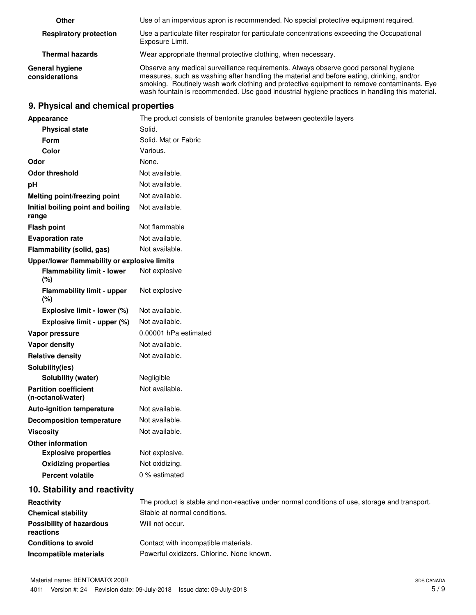| Other                                    | Use of an impervious apron is recommended. No special protective equipment required.                                                                                                                                                                                                                                                                                             |
|------------------------------------------|----------------------------------------------------------------------------------------------------------------------------------------------------------------------------------------------------------------------------------------------------------------------------------------------------------------------------------------------------------------------------------|
| <b>Respiratory protection</b>            | Use a particulate filter respirator for particulate concentrations exceeding the Occupational<br>Exposure Limit.                                                                                                                                                                                                                                                                 |
| <b>Thermal hazards</b>                   | Wear appropriate thermal protective clothing, when necessary.                                                                                                                                                                                                                                                                                                                    |
| <b>General hygiene</b><br>considerations | Observe any medical surveillance requirements. Always observe good personal hygiene<br>measures, such as washing after handling the material and before eating, drinking, and/or<br>smoking. Routinely wash work clothing and protective equipment to remove contaminants. Eye<br>wash fountain is recommended. Use good industrial hygiene practices in handling this material. |

### **9. Physical and chemical properties**

| Appearance                                        | The product consists of bentonite granules between geotextile layers                          |
|---------------------------------------------------|-----------------------------------------------------------------------------------------------|
| <b>Physical state</b>                             | Solid.                                                                                        |
| Form                                              | Solid. Mat or Fabric                                                                          |
| Color                                             | Various.                                                                                      |
| Odor                                              | None.                                                                                         |
| <b>Odor threshold</b>                             | Not available.                                                                                |
| pH                                                | Not available.                                                                                |
| Melting point/freezing point                      | Not available.                                                                                |
| Initial boiling point and boiling<br>range        | Not available.                                                                                |
| <b>Flash point</b>                                | Not flammable                                                                                 |
| <b>Evaporation rate</b>                           | Not available.                                                                                |
| Flammability (solid, gas)                         | Not available.                                                                                |
| Upper/lower flammability or explosive limits      |                                                                                               |
| <b>Flammability limit - lower</b><br>(%)          | Not explosive                                                                                 |
| <b>Flammability limit - upper</b><br>(%)          | Not explosive                                                                                 |
| Explosive limit - lower (%)                       | Not available.                                                                                |
| Explosive limit - upper (%)                       | Not available.                                                                                |
| Vapor pressure                                    | 0.00001 hPa estimated                                                                         |
| Vapor density                                     | Not available.                                                                                |
| <b>Relative density</b>                           | Not available.                                                                                |
| Solubility(ies)                                   |                                                                                               |
| Solubility (water)                                | Negligible                                                                                    |
| <b>Partition coefficient</b><br>(n-octanol/water) | Not available.                                                                                |
| <b>Auto-ignition temperature</b>                  | Not available.                                                                                |
| <b>Decomposition temperature</b>                  | Not available.                                                                                |
| <b>Viscosity</b>                                  | Not available.                                                                                |
| <b>Other information</b>                          |                                                                                               |
| <b>Explosive properties</b>                       | Not explosive.                                                                                |
| <b>Oxidizing properties</b>                       | Not oxidizing.                                                                                |
| <b>Percent volatile</b>                           | 0 % estimated                                                                                 |
| 10. Stability and reactivity                      |                                                                                               |
| Reactivity                                        | The product is stable and non-reactive under normal conditions of use, storage and transport. |
| <b>Chemical stability</b>                         | Stable at normal conditions.                                                                  |
| <b>Possibility of hazardous</b><br>reactions      | Will not occur.                                                                               |
| <b>Conditions to avoid</b>                        | Contact with incompatible materials.                                                          |
| Incompatible materials                            | Powerful oxidizers. Chlorine. None known.                                                     |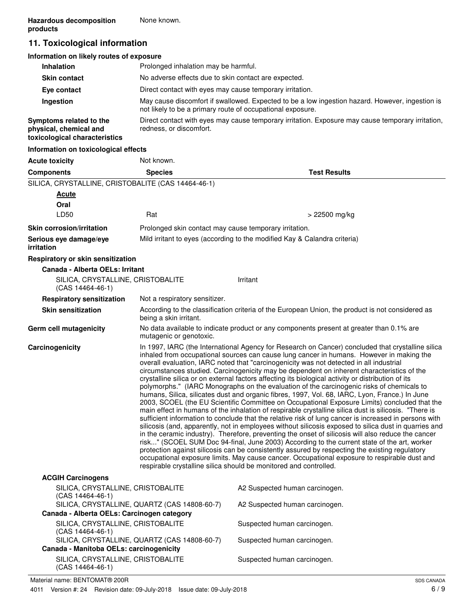# **11. Toxicological information**

| Information on likely routes of exposure                                           |                                                                                                                                                               |
|------------------------------------------------------------------------------------|---------------------------------------------------------------------------------------------------------------------------------------------------------------|
| <b>Inhalation</b>                                                                  | Prolonged inhalation may be harmful.                                                                                                                          |
| <b>Skin contact</b>                                                                | No adverse effects due to skin contact are expected.                                                                                                          |
| Eye contact                                                                        | Direct contact with eyes may cause temporary irritation.                                                                                                      |
| Ingestion                                                                          | May cause discomfort if swallowed. Expected to be a low ingestion hazard. However, ingestion is<br>not likely to be a primary route of occupational exposure. |
| Symptoms related to the<br>physical, chemical and<br>toxicological characteristics | Direct contact with eyes may cause temporary irritation. Exposure may cause temporary irritation,<br>redness, or discomfort.                                  |
| Information on toxicological effects                                               |                                                                                                                                                               |

| <b>Acute toxicity</b>                                   | Not known.                                                                                                                                                                                                                                                                                                                                                                                                                                                                                                                                                                                                                                                                                                                                                                                                                                                                                                                                                                                                                                                                                                                                                                                                                                                                                                                                                                                                                                                                                                                                                                                         |                                                                                                  |
|---------------------------------------------------------|----------------------------------------------------------------------------------------------------------------------------------------------------------------------------------------------------------------------------------------------------------------------------------------------------------------------------------------------------------------------------------------------------------------------------------------------------------------------------------------------------------------------------------------------------------------------------------------------------------------------------------------------------------------------------------------------------------------------------------------------------------------------------------------------------------------------------------------------------------------------------------------------------------------------------------------------------------------------------------------------------------------------------------------------------------------------------------------------------------------------------------------------------------------------------------------------------------------------------------------------------------------------------------------------------------------------------------------------------------------------------------------------------------------------------------------------------------------------------------------------------------------------------------------------------------------------------------------------------|--------------------------------------------------------------------------------------------------|
| <b>Components</b>                                       | <b>Species</b>                                                                                                                                                                                                                                                                                                                                                                                                                                                                                                                                                                                                                                                                                                                                                                                                                                                                                                                                                                                                                                                                                                                                                                                                                                                                                                                                                                                                                                                                                                                                                                                     | <b>Test Results</b>                                                                              |
| SILICA, CRYSTALLINE, CRISTOBALITE (CAS 14464-46-1)      |                                                                                                                                                                                                                                                                                                                                                                                                                                                                                                                                                                                                                                                                                                                                                                                                                                                                                                                                                                                                                                                                                                                                                                                                                                                                                                                                                                                                                                                                                                                                                                                                    |                                                                                                  |
| Acute                                                   |                                                                                                                                                                                                                                                                                                                                                                                                                                                                                                                                                                                                                                                                                                                                                                                                                                                                                                                                                                                                                                                                                                                                                                                                                                                                                                                                                                                                                                                                                                                                                                                                    |                                                                                                  |
| Oral                                                    |                                                                                                                                                                                                                                                                                                                                                                                                                                                                                                                                                                                                                                                                                                                                                                                                                                                                                                                                                                                                                                                                                                                                                                                                                                                                                                                                                                                                                                                                                                                                                                                                    |                                                                                                  |
| LD50                                                    | Rat                                                                                                                                                                                                                                                                                                                                                                                                                                                                                                                                                                                                                                                                                                                                                                                                                                                                                                                                                                                                                                                                                                                                                                                                                                                                                                                                                                                                                                                                                                                                                                                                | > 22500 mg/kg                                                                                    |
| <b>Skin corrosion/irritation</b>                        | Prolonged skin contact may cause temporary irritation.                                                                                                                                                                                                                                                                                                                                                                                                                                                                                                                                                                                                                                                                                                                                                                                                                                                                                                                                                                                                                                                                                                                                                                                                                                                                                                                                                                                                                                                                                                                                             |                                                                                                  |
| Serious eye damage/eye<br><i>irritation</i>             |                                                                                                                                                                                                                                                                                                                                                                                                                                                                                                                                                                                                                                                                                                                                                                                                                                                                                                                                                                                                                                                                                                                                                                                                                                                                                                                                                                                                                                                                                                                                                                                                    | Mild irritant to eyes (according to the modified Kay & Calandra criteria)                        |
| Respiratory or skin sensitization                       |                                                                                                                                                                                                                                                                                                                                                                                                                                                                                                                                                                                                                                                                                                                                                                                                                                                                                                                                                                                                                                                                                                                                                                                                                                                                                                                                                                                                                                                                                                                                                                                                    |                                                                                                  |
| Canada - Alberta OELs: Irritant                         |                                                                                                                                                                                                                                                                                                                                                                                                                                                                                                                                                                                                                                                                                                                                                                                                                                                                                                                                                                                                                                                                                                                                                                                                                                                                                                                                                                                                                                                                                                                                                                                                    |                                                                                                  |
| SILICA, CRYSTALLINE, CRISTOBALITE<br>$(CAS 14464-46-1)$ |                                                                                                                                                                                                                                                                                                                                                                                                                                                                                                                                                                                                                                                                                                                                                                                                                                                                                                                                                                                                                                                                                                                                                                                                                                                                                                                                                                                                                                                                                                                                                                                                    | Irritant                                                                                         |
| <b>Respiratory sensitization</b>                        | Not a respiratory sensitizer.                                                                                                                                                                                                                                                                                                                                                                                                                                                                                                                                                                                                                                                                                                                                                                                                                                                                                                                                                                                                                                                                                                                                                                                                                                                                                                                                                                                                                                                                                                                                                                      |                                                                                                  |
| <b>Skin sensitization</b>                               | being a skin irritant.                                                                                                                                                                                                                                                                                                                                                                                                                                                                                                                                                                                                                                                                                                                                                                                                                                                                                                                                                                                                                                                                                                                                                                                                                                                                                                                                                                                                                                                                                                                                                                             | According to the classification criteria of the European Union, the product is not considered as |
| Germ cell mutagenicity                                  | mutagenic or genotoxic.                                                                                                                                                                                                                                                                                                                                                                                                                                                                                                                                                                                                                                                                                                                                                                                                                                                                                                                                                                                                                                                                                                                                                                                                                                                                                                                                                                                                                                                                                                                                                                            | No data available to indicate product or any components present at greater than 0.1% are         |
| Carcinogenicity                                         | In 1997, IARC (the International Agency for Research on Cancer) concluded that crystalline silica<br>inhaled from occupational sources can cause lung cancer in humans. However in making the<br>overall evaluation, IARC noted that "carcinogenicity was not detected in all industrial<br>circumstances studied. Carcinogenicity may be dependent on inherent characteristics of the<br>crystalline silica or on external factors affecting its biological activity or distribution of its<br>polymorphs." (IARC Monographs on the evaluation of the carcinogenic risks of chemicals to<br>humans, Silica, silicates dust and organic fibres, 1997, Vol. 68, IARC, Lyon, France.) In June<br>2003, SCOEL (the EU Scientific Committee on Occupational Exposure Limits) concluded that the<br>main effect in humans of the inhalation of respirable crystalline silica dust is silicosis. "There is<br>sufficient information to conclude that the relative risk of lung cancer is increased in persons with<br>silicosis (and, apparently, not in employees without silicosis exposed to silica dust in quarries and<br>in the ceramic industry). Therefore, preventing the onset of silicosis will also reduce the cancer<br>risk" (SCOEL SUM Doc 94-final, June 2003) According to the current state of the art, worker<br>protection against silicosis can be consistently assured by respecting the existing regulatory<br>occupational exposure limits. May cause cancer. Occupational exposure to respirable dust and<br>respirable crystalline silica should be monitored and controlled. |                                                                                                  |
| <b>ACGIH Carcinogens</b>                                |                                                                                                                                                                                                                                                                                                                                                                                                                                                                                                                                                                                                                                                                                                                                                                                                                                                                                                                                                                                                                                                                                                                                                                                                                                                                                                                                                                                                                                                                                                                                                                                                    |                                                                                                  |
| SILICA, CRYSTALLINE, CRISTOBALITE<br>(CAS 14464-46-1)   |                                                                                                                                                                                                                                                                                                                                                                                                                                                                                                                                                                                                                                                                                                                                                                                                                                                                                                                                                                                                                                                                                                                                                                                                                                                                                                                                                                                                                                                                                                                                                                                                    | A2 Suspected human carcinogen.                                                                   |
| Canada - Alberta OELs: Carcinogen category              | SILICA, CRYSTALLINE, QUARTZ (CAS 14808-60-7)                                                                                                                                                                                                                                                                                                                                                                                                                                                                                                                                                                                                                                                                                                                                                                                                                                                                                                                                                                                                                                                                                                                                                                                                                                                                                                                                                                                                                                                                                                                                                       | A2 Suspected human carcinogen.                                                                   |
| SILICA, CRYSTALLINE, CRISTOBALITE                       |                                                                                                                                                                                                                                                                                                                                                                                                                                                                                                                                                                                                                                                                                                                                                                                                                                                                                                                                                                                                                                                                                                                                                                                                                                                                                                                                                                                                                                                                                                                                                                                                    | Suspected human carcinogen.                                                                      |
| $(CAS 14464-46-1)$                                      | SILICA, CRYSTALLINE, QUARTZ (CAS 14808-60-7)                                                                                                                                                                                                                                                                                                                                                                                                                                                                                                                                                                                                                                                                                                                                                                                                                                                                                                                                                                                                                                                                                                                                                                                                                                                                                                                                                                                                                                                                                                                                                       | Suspected human carcinogen.                                                                      |
| Canada - Manitoba OELs: carcinogenicity                 |                                                                                                                                                                                                                                                                                                                                                                                                                                                                                                                                                                                                                                                                                                                                                                                                                                                                                                                                                                                                                                                                                                                                                                                                                                                                                                                                                                                                                                                                                                                                                                                                    |                                                                                                  |
| SILICA, CRYSTALLINE, CRISTOBALITE                       |                                                                                                                                                                                                                                                                                                                                                                                                                                                                                                                                                                                                                                                                                                                                                                                                                                                                                                                                                                                                                                                                                                                                                                                                                                                                                                                                                                                                                                                                                                                                                                                                    | Suspected human carcinogen.                                                                      |

(CAS 14464-46-1)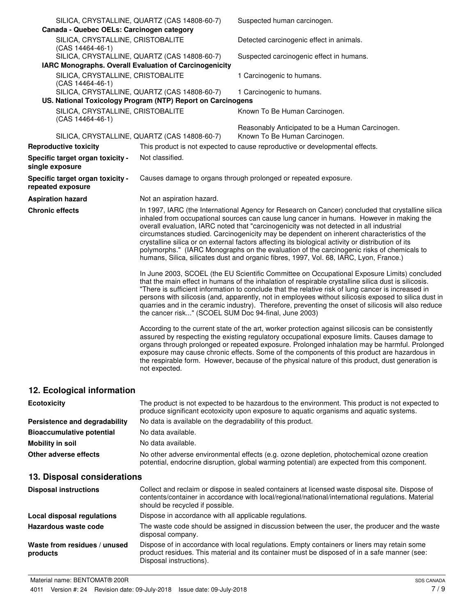| Canada - Quebec OELs: Carcinogen category                     | SILICA, CRYSTALLINE, QUARTZ (CAS 14808-60-7)                                                                | Suspected human carcinogen.                                                                                                                                                                                                                                                                                                                                                                                                                                                                                                                                                                                                                                                         |
|---------------------------------------------------------------|-------------------------------------------------------------------------------------------------------------|-------------------------------------------------------------------------------------------------------------------------------------------------------------------------------------------------------------------------------------------------------------------------------------------------------------------------------------------------------------------------------------------------------------------------------------------------------------------------------------------------------------------------------------------------------------------------------------------------------------------------------------------------------------------------------------|
| SILICA, CRYSTALLINE, CRISTOBALITE<br>(CAS 14464-46-1)         |                                                                                                             | Detected carcinogenic effect in animals.                                                                                                                                                                                                                                                                                                                                                                                                                                                                                                                                                                                                                                            |
|                                                               | SILICA, CRYSTALLINE, QUARTZ (CAS 14808-60-7)                                                                | Suspected carcinogenic effect in humans.                                                                                                                                                                                                                                                                                                                                                                                                                                                                                                                                                                                                                                            |
| <b>IARC Monographs. Overall Evaluation of Carcinogenicity</b> |                                                                                                             |                                                                                                                                                                                                                                                                                                                                                                                                                                                                                                                                                                                                                                                                                     |
| SILICA, CRYSTALLINE, CRISTOBALITE<br>(CAS 14464-46-1)         |                                                                                                             | 1 Carcinogenic to humans.                                                                                                                                                                                                                                                                                                                                                                                                                                                                                                                                                                                                                                                           |
|                                                               | SILICA, CRYSTALLINE, QUARTZ (CAS 14808-60-7)<br>US. National Toxicology Program (NTP) Report on Carcinogens | 1 Carcinogenic to humans.                                                                                                                                                                                                                                                                                                                                                                                                                                                                                                                                                                                                                                                           |
| SILICA, CRYSTALLINE, CRISTOBALITE<br>(CAS 14464-46-1)         |                                                                                                             | Known To Be Human Carcinogen.                                                                                                                                                                                                                                                                                                                                                                                                                                                                                                                                                                                                                                                       |
|                                                               | SILICA, CRYSTALLINE, QUARTZ (CAS 14808-60-7)                                                                | Reasonably Anticipated to be a Human Carcinogen.<br>Known To Be Human Carcinogen.                                                                                                                                                                                                                                                                                                                                                                                                                                                                                                                                                                                                   |
| <b>Reproductive toxicity</b>                                  |                                                                                                             | This product is not expected to cause reproductive or developmental effects.                                                                                                                                                                                                                                                                                                                                                                                                                                                                                                                                                                                                        |
| Specific target organ toxicity -<br>single exposure           | Not classified.                                                                                             |                                                                                                                                                                                                                                                                                                                                                                                                                                                                                                                                                                                                                                                                                     |
| Specific target organ toxicity -<br>repeated exposure         |                                                                                                             | Causes damage to organs through prolonged or repeated exposure.                                                                                                                                                                                                                                                                                                                                                                                                                                                                                                                                                                                                                     |
| <b>Aspiration hazard</b>                                      | Not an aspiration hazard.                                                                                   |                                                                                                                                                                                                                                                                                                                                                                                                                                                                                                                                                                                                                                                                                     |
| <b>Chronic effects</b>                                        |                                                                                                             | In 1997, IARC (the International Agency for Research on Cancer) concluded that crystalline silica<br>inhaled from occupational sources can cause lung cancer in humans. However in making the<br>overall evaluation, IARC noted that "carcinogenicity was not detected in all industrial<br>circumstances studied. Carcinogenicity may be dependent on inherent characteristics of the<br>crystalline silica or on external factors affecting its biological activity or distribution of its<br>polymorphs." (IARC Monographs on the evaluation of the carcinogenic risks of chemicals to<br>humans, Silica, silicates dust and organic fibres, 1997, Vol. 68, IARC, Lyon, France.) |
|                                                               | the cancer risk" (SCOEL SUM Doc 94-final, June 2003)                                                        | In June 2003, SCOEL (the EU Scientific Committee on Occupational Exposure Limits) concluded<br>that the main effect in humans of the inhalation of respirable crystalline silica dust is silicosis.<br>"There is sufficient information to conclude that the relative risk of lung cancer is increased in<br>persons with silicosis (and, apparently, not in employees without silicosis exposed to silica dust in<br>quarries and in the ceramic industry). Therefore, preventing the onset of silicosis will also reduce                                                                                                                                                          |
|                                                               | not expected.                                                                                               | According to the current state of the art, worker protection against silicosis can be consistently<br>assured by respecting the existing regulatory occupational exposure limits. Causes damage to<br>organs through prolonged or repeated exposure. Prolonged inhalation may be harmful. Prolonged<br>exposure may cause chronic effects. Some of the components of this product are hazardous in<br>the respirable form. However, because of the physical nature of this product, dust generation is                                                                                                                                                                              |
| 12. Ecological information                                    |                                                                                                             |                                                                                                                                                                                                                                                                                                                                                                                                                                                                                                                                                                                                                                                                                     |

| <b>Ecotoxicity</b>               | The product is not expected to be hazardous to the environment. This product is not expected to<br>produce significant ecotoxicity upon exposure to aquatic organisms and aquatic systems. |
|----------------------------------|--------------------------------------------------------------------------------------------------------------------------------------------------------------------------------------------|
| Persistence and degradability    | No data is available on the degradability of this product.                                                                                                                                 |
| <b>Bioaccumulative potential</b> | No data available.                                                                                                                                                                         |
| Mobility in soil                 | No data available.                                                                                                                                                                         |
| Other adverse effects            | No other adverse environmental effects (e.g. ozone depletion, photochemical ozone creation<br>potential, endocrine disruption, global warming potential) are expected from this component. |

# **13. Disposal considerations**

| <b>Disposal instructions</b>             | Collect and reclaim or dispose in sealed containers at licensed waste disposal site. Dispose of<br>contents/container in accordance with local/regional/national/international regulations. Material<br>should be recycled if possible. |
|------------------------------------------|-----------------------------------------------------------------------------------------------------------------------------------------------------------------------------------------------------------------------------------------|
| Local disposal regulations               | Dispose in accordance with all applicable regulations.                                                                                                                                                                                  |
| Hazardous waste code                     | The waste code should be assigned in discussion between the user, the producer and the waste<br>disposal company.                                                                                                                       |
| Waste from residues / unused<br>products | Dispose of in accordance with local regulations. Empty containers or liners may retain some<br>product residues. This material and its container must be disposed of in a safe manner (see:<br>Disposal instructions).                  |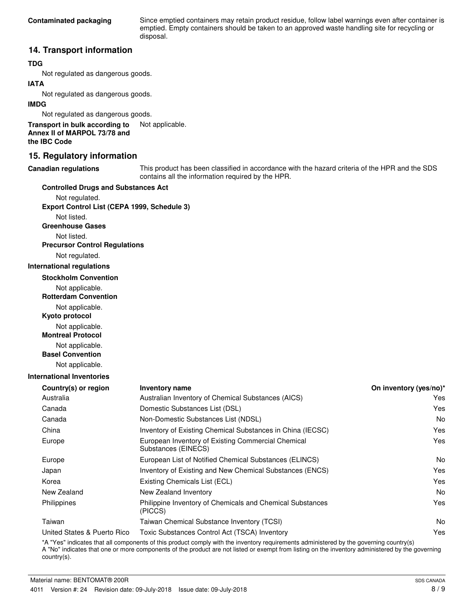Since emptied containers may retain product residue, follow label warnings even after container is emptied. Empty containers should be taken to an approved waste handling site for recycling or disposal.

### **14. Transport information**

#### **TDG**

Not regulated as dangerous goods.

#### **IATA**

Not regulated as dangerous goods.

#### **IMDG**

Not regulated as dangerous goods.

**Transport in bulk according to** Not applicable. **Annex II of MARPOL 73/78 and the IBC Code**

### **15. Regulatory information**

#### **Canadian regulations**

This product has been classified in accordance with the hazard criteria of the HPR and the SDS contains all the information required by the HPR.

#### **Controlled Drugs and Substances Act**

Not regulated. **Export Control List (CEPA 1999, Schedule 3)**

Not listed.

**Greenhouse Gases**

Not listed.

## **Precursor Control Regulations**

Not regulated.

#### **International regulations**

**Stockholm Convention**

Not applicable.

**Rotterdam Convention**

Not applicable.

**Kyoto protocol**

Not applicable.

**Montreal Protocol**

Not applicable.

**Basel Convention**

Not applicable.

#### **International Inventories**

| <b>Inventory name</b>                                                     | On inventory (yes/no)* |
|---------------------------------------------------------------------------|------------------------|
| Australian Inventory of Chemical Substances (AICS)                        | Yes                    |
| Domestic Substances List (DSL)                                            | Yes                    |
| Non-Domestic Substances List (NDSL)                                       | No                     |
| Inventory of Existing Chemical Substances in China (IECSC)                | Yes                    |
| European Inventory of Existing Commercial Chemical<br>Substances (EINECS) | Yes                    |
| European List of Notified Chemical Substances (ELINCS)                    | No                     |
| Inventory of Existing and New Chemical Substances (ENCS)                  | Yes                    |
| Existing Chemicals List (ECL)                                             | Yes                    |
| New Zealand Inventory                                                     | No                     |
| Philippine Inventory of Chemicals and Chemical Substances<br>(PICCS)      | Yes                    |
| Taiwan Chemical Substance Inventory (TCSI)                                | No                     |
| Toxic Substances Control Act (TSCA) Inventory                             | Yes                    |
|                                                                           |                        |

\*A "Yes" indicates that all components of this product comply with the inventory requirements administered by the governing country(s) A "No" indicates that one or more components of the product are not listed or exempt from listing on the inventory administered by the governing country(s).